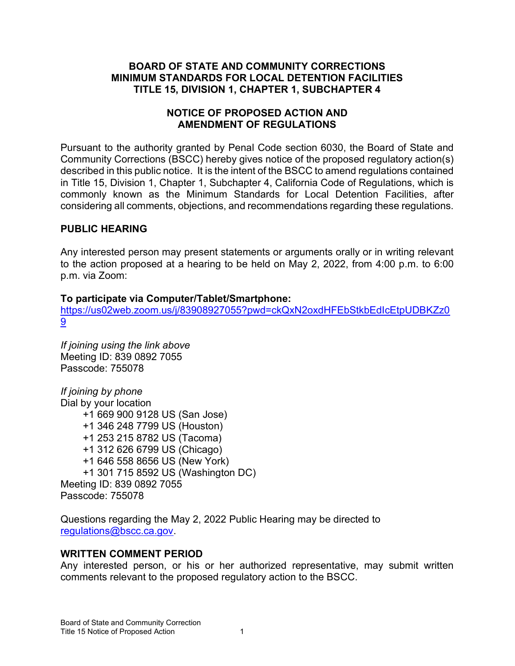### BOARD OF STATE AND COMMUNITY CORRECTIONS MINIMUM STANDARDS FOR LOCAL DETENTION FACILITIES TITLE 15, DIVISION 1, CHAPTER 1, SUBCHAPTER 4

## NOTICE OF PROPOSED ACTION AND AMENDMENT OF REGULATIONS

Pursuant to the authority granted by Penal Code section 6030, the Board of State and Community Corrections (BSCC) hereby gives notice of the proposed regulatory action(s) described in this public notice. It is the intent of the BSCC to amend regulations contained in Title 15, Division 1, Chapter 1, Subchapter 4, California Code of Regulations, which is commonly known as the Minimum Standards for Local Detention Facilities, after considering all comments, objections, and recommendations regarding these regulations.

## PUBLIC HEARING

Any interested person may present statements or arguments orally or in writing relevant to the action proposed at a hearing to be held on May 2, 2022, from 4:00 p.m. to 6:00 p.m. via Zoom:

## To participate via Computer/Tablet/Smartphone:

https://us02web.zoom.us/j/83908927055?pwd=ckQxN2oxdHFEbStkbEdIcEtpUDBKZz0 9

If joining using the link above Meeting ID: 839 0892 7055 Passcode: 755078

If joining by phone Dial by your location +1 669 900 9128 US (San Jose) +1 346 248 7799 US (Houston) +1 253 215 8782 US (Tacoma) +1 312 626 6799 US (Chicago) +1 646 558 8656 US (New York) +1 301 715 8592 US (Washington DC) Meeting ID: 839 0892 7055 Passcode: 755078

Questions regarding the May 2, 2022 Public Hearing may be directed to regulations@bscc.ca.gov.

#### WRITTEN COMMENT PERIOD

Any interested person, or his or her authorized representative, may submit written comments relevant to the proposed regulatory action to the BSCC.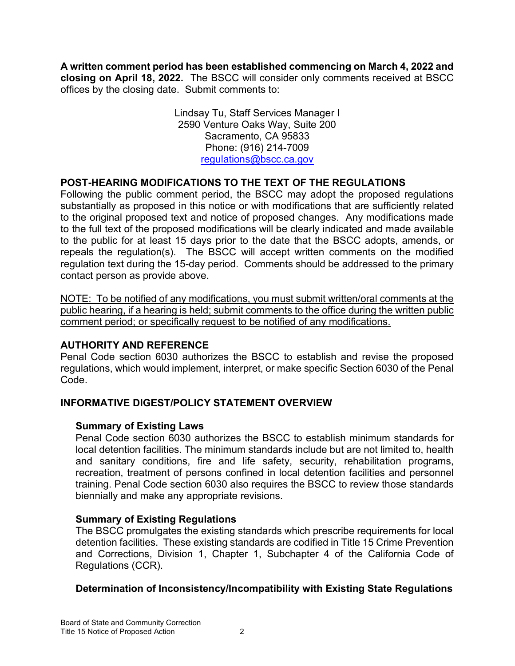A written comment period has been established commencing on March 4, 2022 and closing on April 18, 2022. The BSCC will consider only comments received at BSCC offices by the closing date. Submit comments to:

> Lindsay Tu, Staff Services Manager I 2590 Venture Oaks Way, Suite 200 Sacramento, CA 95833 Phone: (916) 214-7009 regulations@bscc.ca.gov

# POST-HEARING MODIFICATIONS TO THE TEXT OF THE REGULATIONS

Following the public comment period, the BSCC may adopt the proposed regulations substantially as proposed in this notice or with modifications that are sufficiently related to the original proposed text and notice of proposed changes. Any modifications made to the full text of the proposed modifications will be clearly indicated and made available to the public for at least 15 days prior to the date that the BSCC adopts, amends, or repeals the regulation(s). The BSCC will accept written comments on the modified regulation text during the 15-day period. Comments should be addressed to the primary contact person as provide above.

NOTE: To be notified of any modifications, you must submit written/oral comments at the public hearing, if a hearing is held; submit comments to the office during the written public comment period; or specifically request to be notified of any modifications.

# AUTHORITY AND REFERENCE

Penal Code section 6030 authorizes the BSCC to establish and revise the proposed regulations, which would implement, interpret, or make specific Section 6030 of the Penal Code.

# INFORMATIVE DIGEST/POLICY STATEMENT OVERVIEW

#### Summary of Existing Laws

Penal Code section 6030 authorizes the BSCC to establish minimum standards for local detention facilities. The minimum standards include but are not limited to, health and sanitary conditions, fire and life safety, security, rehabilitation programs, recreation, treatment of persons confined in local detention facilities and personnel training. Penal Code section 6030 also requires the BSCC to review those standards biennially and make any appropriate revisions.

# Summary of Existing Regulations

The BSCC promulgates the existing standards which prescribe requirements for local detention facilities. These existing standards are codified in Title 15 Crime Prevention and Corrections, Division 1, Chapter 1, Subchapter 4 of the California Code of Regulations (CCR).

#### Determination of Inconsistency/Incompatibility with Existing State Regulations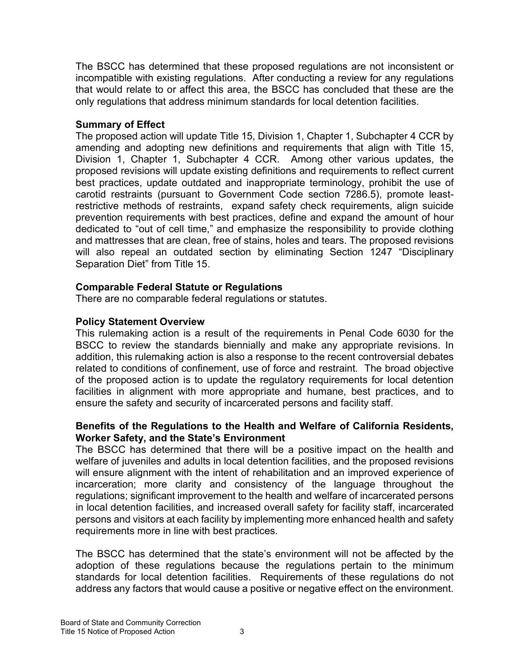The BSCC has determined that these proposed regulations are not inconsistent or incompatible with existing regulations. After conducting a review for any regulations that would relate to or affect this area, the BSCC has concluded that these are the only regulations that address minimum standards for local detention facilities.

### Summary of Effect

The proposed action will update Title 15, Division 1, Chapter 1, Subchapter 4 CCR by amending and adopting new definitions and requirements that align with Title 15, Division 1, Chapter 1, Subchapter 4 CCR. Among other various updates, the proposed revisions will update existing definitions and requirements to reflect current best practices, update outdated and inappropriate terminology, prohibit the use of carotid restraints (pursuant to Government Code section 7286.5), promote leastrestrictive methods of restraints, expand safety check requirements, align suicide prevention requirements with best practices, define and expand the amount of hour dedicated to "out of cell time," and emphasize the responsibility to provide clothing and mattresses that are clean, free of stains, holes and tears. The proposed revisions will also repeal an outdated section by eliminating Section 1247 "Disciplinary Separation Diet" from Title 15.

## Comparable Federal Statute or Regulations

There are no comparable federal regulations or statutes.

# Policy Statement Overview

This rulemaking action is a result of the requirements in Penal Code 6030 for the BSCC to review the standards biennially and make any appropriate revisions. In addition, this rulemaking action is also a response to the recent controversial debates related to conditions of confinement, use of force and restraint. The broad objective of the proposed action is to update the regulatory requirements for local detention facilities in alignment with more appropriate and humane, best practices, and to ensure the safety and security of incarcerated persons and facility staff.

## Benefits of the Regulations to the Health and Welfare of California Residents, Worker Safety, and the State's Environment

The BSCC has determined that there will be a positive impact on the health and welfare of juveniles and adults in local detention facilities, and the proposed revisions will ensure alignment with the intent of rehabilitation and an improved experience of incarceration; more clarity and consistency of the language throughout the regulations; significant improvement to the health and welfare of incarcerated persons in local detention facilities, and increased overall safety for facility staff, incarcerated persons and visitors at each facility by implementing more enhanced health and safety requirements more in line with best practices.

The BSCC has determined that the state's environment will not be affected by the adoption of these regulations because the regulations pertain to the minimum standards for local detention facilities. Requirements of these regulations do not address any factors that would cause a positive or negative effect on the environment.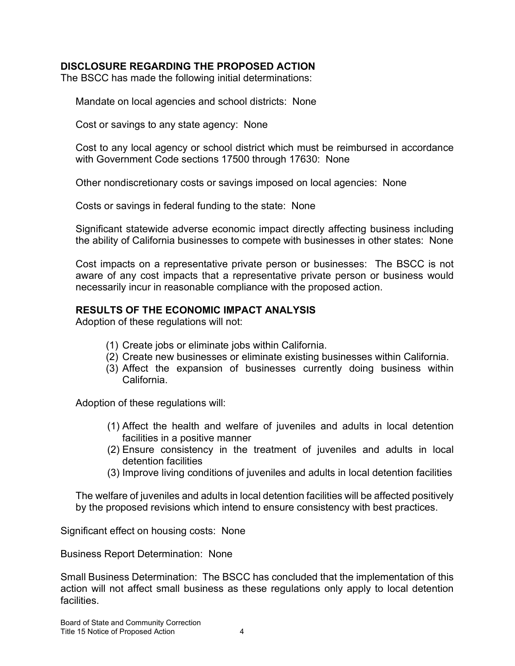## DISCLOSURE REGARDING THE PROPOSED ACTION

The BSCC has made the following initial determinations:

Mandate on local agencies and school districts: None

Cost or savings to any state agency: None

Cost to any local agency or school district which must be reimbursed in accordance with Government Code sections 17500 through 17630: None

Other nondiscretionary costs or savings imposed on local agencies: None

Costs or savings in federal funding to the state: None

Significant statewide adverse economic impact directly affecting business including the ability of California businesses to compete with businesses in other states: None

Cost impacts on a representative private person or businesses: The BSCC is not aware of any cost impacts that a representative private person or business would necessarily incur in reasonable compliance with the proposed action.

#### RESULTS OF THE ECONOMIC IMPACT ANALYSIS

Adoption of these regulations will not:

- (1) Create jobs or eliminate jobs within California.
- (2) Create new businesses or eliminate existing businesses within California.
- (3) Affect the expansion of businesses currently doing business within California.

Adoption of these regulations will:

- (1) Affect the health and welfare of juveniles and adults in local detention facilities in a positive manner
- (2) Ensure consistency in the treatment of juveniles and adults in local detention facilities
- (3) Improve living conditions of juveniles and adults in local detention facilities

The welfare of juveniles and adults in local detention facilities will be affected positively by the proposed revisions which intend to ensure consistency with best practices.

Significant effect on housing costs: None

Business Report Determination: None

Small Business Determination: The BSCC has concluded that the implementation of this action will not affect small business as these regulations only apply to local detention **facilities**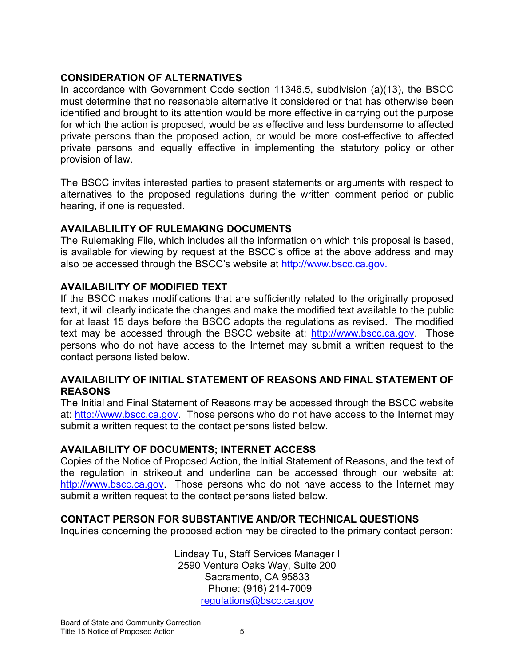# CONSIDERATION OF ALTERNATIVES

In accordance with Government Code section 11346.5, subdivision (a)(13), the BSCC must determine that no reasonable alternative it considered or that has otherwise been identified and brought to its attention would be more effective in carrying out the purpose for which the action is proposed, would be as effective and less burdensome to affected private persons than the proposed action, or would be more cost-effective to affected private persons and equally effective in implementing the statutory policy or other provision of law.

The BSCC invites interested parties to present statements or arguments with respect to alternatives to the proposed regulations during the written comment period or public hearing, if one is requested.

#### AVAILABLILITY OF RULEMAKING DOCUMENTS

The Rulemaking File, which includes all the information on which this proposal is based, is available for viewing by request at the BSCC's office at the above address and may also be accessed through the BSCC's website at http://www.bscc.ca.gov.

## AVAILABILITY OF MODIFIED TEXT

If the BSCC makes modifications that are sufficiently related to the originally proposed text, it will clearly indicate the changes and make the modified text available to the public for at least 15 days before the BSCC adopts the regulations as revised. The modified text may be accessed through the BSCC website at: http://www.bscc.ca.gov. Those persons who do not have access to the Internet may submit a written request to the contact persons listed below.

## AVAILABILITY OF INITIAL STATEMENT OF REASONS AND FINAL STATEMENT OF REASONS

The Initial and Final Statement of Reasons may be accessed through the BSCC website at: http://www.bscc.ca.gov. Those persons who do not have access to the Internet may submit a written request to the contact persons listed below.

# AVAILABILITY OF DOCUMENTS; INTERNET ACCESS

Copies of the Notice of Proposed Action, the Initial Statement of Reasons, and the text of the regulation in strikeout and underline can be accessed through our website at: http://www.bscc.ca.gov. Those persons who do not have access to the Internet may submit a written request to the contact persons listed below.

# CONTACT PERSON FOR SUBSTANTIVE AND/OR TECHNICAL QUESTIONS

Inquiries concerning the proposed action may be directed to the primary contact person:

Lindsay Tu, Staff Services Manager I 2590 Venture Oaks Way, Suite 200 Sacramento, CA 95833 Phone: (916) 214-7009 regulations@bscc.ca.gov